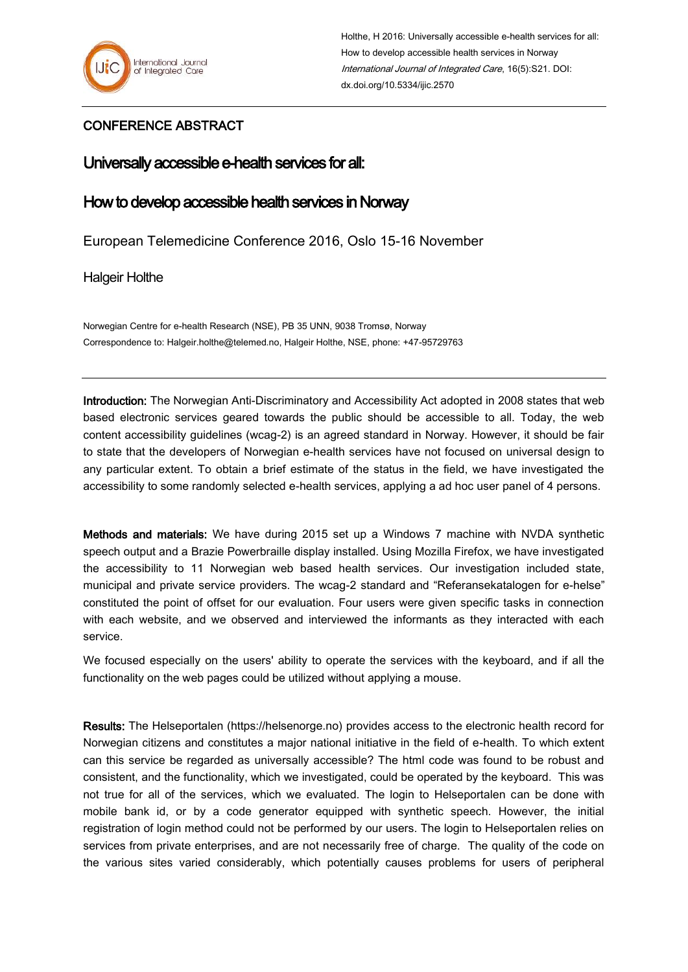

## CONFERENCE ABSTRACT

## Universally accessible e-health services for all:

## How to develop accessible health services in Norway

European Telemedicine Conference 2016, Oslo 15-16 November

Halgeir Holthe

Norwegian Centre for e-health Research (NSE), PB 35 UNN, 9038 Tromsø, Norway Correspondence to: Halgeir.holthe@telemed.no, Halgeir Holthe, NSE, phone: +47-95729763

Introduction: The Norwegian Anti-Discriminatory and Accessibility Act adopted in 2008 states that web based electronic services geared towards the public should be accessible to all. Today, the web content accessibility guidelines (wcag-2) is an agreed standard in Norway. However, it should be fair to state that the developers of Norwegian e-health services have not focused on universal design to any particular extent. To obtain a brief estimate of the status in the field, we have investigated the accessibility to some randomly selected e-health services, applying a ad hoc user panel of 4 persons.

Methods and materials: We have during 2015 set up a Windows 7 machine with NVDA synthetic speech output and a Brazie Powerbraille display installed. Using Mozilla Firefox, we have investigated the accessibility to 11 Norwegian web based health services. Our investigation included state, municipal and private service providers. The wcag-2 standard and "Referansekatalogen for e-helse" constituted the point of offset for our evaluation. Four users were given specific tasks in connection with each website, and we observed and interviewed the informants as they interacted with each service.

We focused especially on the users' ability to operate the services with the keyboard, and if all the functionality on the web pages could be utilized without applying a mouse.

Results: The Helseportalen (https://helsenorge.no) provides access to the electronic health record for Norwegian citizens and constitutes a major national initiative in the field of e-health. To which extent can this service be regarded as universally accessible? The html code was found to be robust and consistent, and the functionality, which we investigated, could be operated by the keyboard. This was not true for all of the services, which we evaluated. The login to Helseportalen can be done with mobile bank id, or by a code generator equipped with synthetic speech. However, the initial registration of login method could not be performed by our users. The login to Helseportalen relies on services from private enterprises, and are not necessarily free of charge. The quality of the code on the various sites varied considerably, which potentially causes problems for users of peripheral